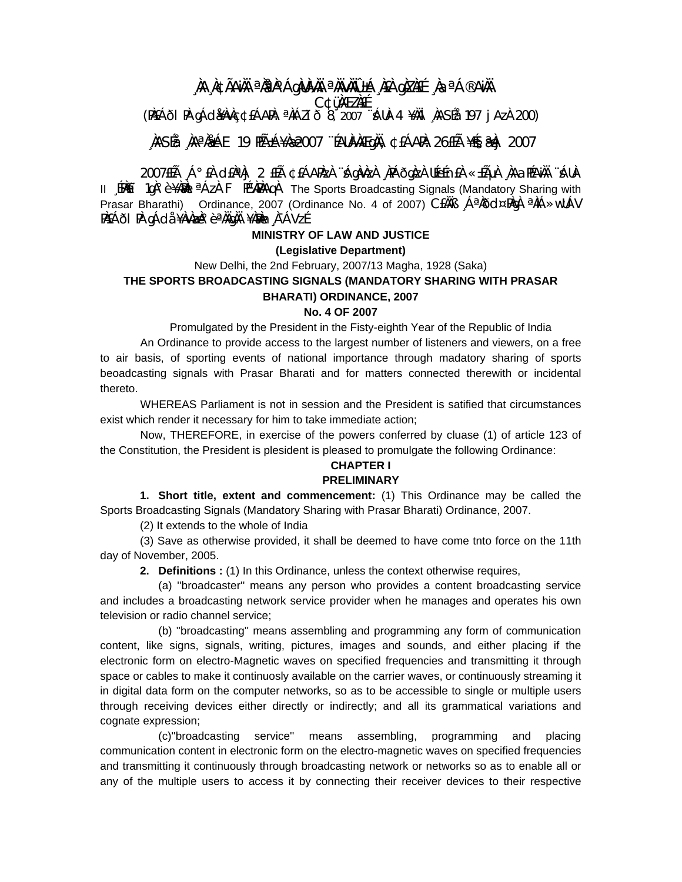# **¸ÀA¸À¢ÃAiÀÄ ªÀåªÀºÁgÀUÀ¼ÀÄ ªÀÄvÀÄÛ ±Á¸À£À gÀZÀ£É ¸ÀaªÁ®AiÀÄ C¢ü¸ÀÆZÀ£É** (PÀ£ÁðlPÀ gÁdå¥ÀvÀç ¢£ÁAPÀ: ªÀiÁZïð 8, 2007 ¨sÁUÀ-4 ¥ÀÄl¸ÀASÉå: 197 jAzÀ 200)

# **¸ÀASÉå: ¸ÀAªÀå±ÁE 19 PÉñÁ¥Àæ 2007 ¨ÉAUÀ¼ÀÆgÀÄ, ¢£ÁAPÀ: 26£Éà ¥sɧæªÀj 2007**

2007£Éà ¸Á°£À d£ÀªÀj 2 £Éà ¢£ÁAPÀzÀ ¨sÁgÀvÀzÀ ¸ÀPÁðgÀzÀ UÉeÉn£À «±ÉõÀ ¸ÀAaPÉAiÀÄ ¨sÁUÀ-II EPAET 1aA°è ¥AAN <sup>a</sup>AzÀ F PÉVAPAAqA The Sports Broadcasting Signals (Mandatory Sharing with Prasar Bharathi) Ordinance, 2007 (Ordinance No. 4 of 2007) CEAAB , A<sup>a</sup> $\delta$ d $\propto$ PÀgÀ <sup>a</sup>ÀiÁ»wUÁV PÀ£ÁðI PÀ gÁdå ¥ÀvÀæÀ°è ªÀÄgÀÄ ¥Àæh¬¸À¯ÁVzÉ

## **MINISTRY OF LAW AND JUSTICE**

#### **(Legislative Department)**

New Delhi, the 2nd February, 2007/13 Magha, 1928 (Saka) **THE SPORTS BROADCASTING SIGNALS (MANDATORY SHARING WITH PRASAR BHARATI) ORDINANCE, 2007** 

# **No. 4 OF 2007**

Promulgated by the President in the Fisty-eighth Year of the Republic of India

An Ordinance to provide access to the largest number of listeners and viewers, on a free to air basis, of sporting events of national importance through madatory sharing of sports beoadcasting signals with Prasar Bharati and for matters connected therewith or incidental thereto.

WHEREAS Parliament is not in session and the President is satified that circumstances exist which render it necessary for him to take immediate action;

Now, THEREFORE, in exercise of the powers conferred by cluase (1) of article 123 of the Constitution, the President is plesident is pleased to promulgate the following Ordinance:

# **CHAPTER I**

# **PRELIMINARY**

 **1. Short title, extent and commencement:** (1) This Ordinance may be called the Sports Broadcasting Signals (Mandatory Sharing with Prasar Bharati) Ordinance, 2007.

(2) It extends to the whole of India

 (3) Save as otherwise provided, it shall be deemed to have come tnto force on the 11th day of November, 2005.

**2. Definitions :** (1) In this Ordinance, unless the context otherwise requires,

 (a) ''broadcaster'' means any person who provides a content broadcasting service and includes a broadcasting network service provider when he manages and operates his own television or radio channel service;

 (b) ''broadcasting'' means assembling and programming any form of communication content, like signs, signals, writing, pictures, images and sounds, and either placing if the electronic form on electro-Magnetic waves on specified frequencies and transmitting it through space or cables to make it continuosly available on the carrier waves, or continuously streaming it in digital data form on the computer networks, so as to be accessible to single or multiple users through receiving devices either directly or indirectly; and all its grammatical variations and cognate expression;

 (c)''broadcasting service'' means assembling, programming and placing communication content in electronic form on the electro-magnetic waves on specified frequencies and transmitting it continuously through broadcasting network or networks so as to enable all or any of the multiple users to access it by connecting their receiver devices to their respective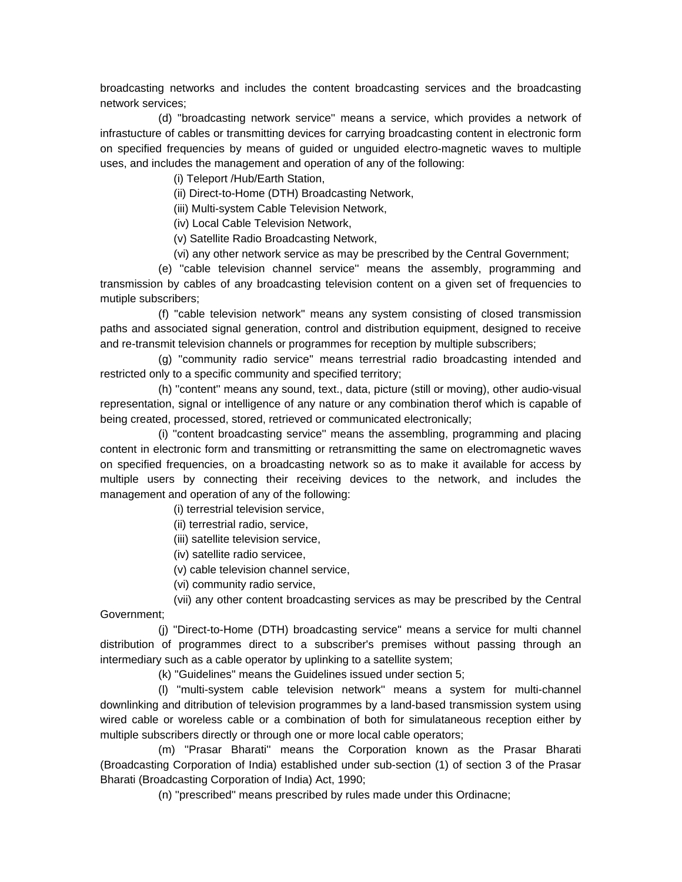broadcasting networks and includes the content broadcasting services and the broadcasting network services;

 (d) ''broadcasting network service'' means a service, which provides a network of infrastucture of cables or transmitting devices for carrying broadcasting content in electronic form on specified frequencies by means of guided or unguided electro-magnetic waves to multiple uses, and includes the management and operation of any of the following:

(i) Teleport /Hub/Earth Station,

(ii) Direct-to-Home (DTH) Broadcasting Network,

(iii) Multi-system Cable Television Network,

(iv) Local Cable Television Network,

(v) Satellite Radio Broadcasting Network,

(vi) any other network service as may be prescribed by the Central Government;

 (e) ''cable television channel service'' means the assembly, programming and transmission by cables of any broadcasting television content on a given set of frequencies to mutiple subscribers;

 (f) ''cable television network'' means any system consisting of closed transmission paths and associated signal generation, control and distribution equipment, designed to receive and re-transmit television channels or programmes for reception by multiple subscribers;

 (g) ''community radio service'' means terrestrial radio broadcasting intended and restricted only to a specific community and specified territory;

 (h) ''content'' means any sound, text., data, picture (still or moving), other audio-visual representation, signal or intelligence of any nature or any combination therof which is capable of being created, processed, stored, retrieved or communicated electronically;

 (i) ''content broadcasting service'' means the assembling, programming and placing content in electronic form and transmitting or retransmitting the same on electromagnetic waves on specified frequencies, on a broadcasting network so as to make it available for access by multiple users by connecting their receiving devices to the network, and includes the management and operation of any of the following:

(i) terrestrial television service,

(ii) terrestrial radio, service,

(iii) satellite television service,

(iv) satellite radio servicee,

(v) cable television channel service,

(vi) community radio service,

 (vii) any other content broadcasting services as may be prescribed by the Central Government;

 (j) ''Direct-to-Home (DTH) broadcasting service'' means a service for multi channel distribution of programmes direct to a subscriber's premises without passing through an intermediary such as a cable operator by uplinking to a satellite system;

(k) ''Guidelines'' means the Guidelines issued under section 5;

 (l) ''multi-system cable television network'' means a system for multi-channel downlinking and ditribution of television programmes by a land-based transmission system using wired cable or woreless cable or a combination of both for simulataneous reception either by multiple subscribers directly or through one or more local cable operators;

 (m) ''Prasar Bharati'' means the Corporation known as the Prasar Bharati (Broadcasting Corporation of India) established under sub-section (1) of section 3 of the Prasar Bharati (Broadcasting Corporation of India) Act, 1990;

(n) ''prescribed'' means prescribed by rules made under this Ordinacne;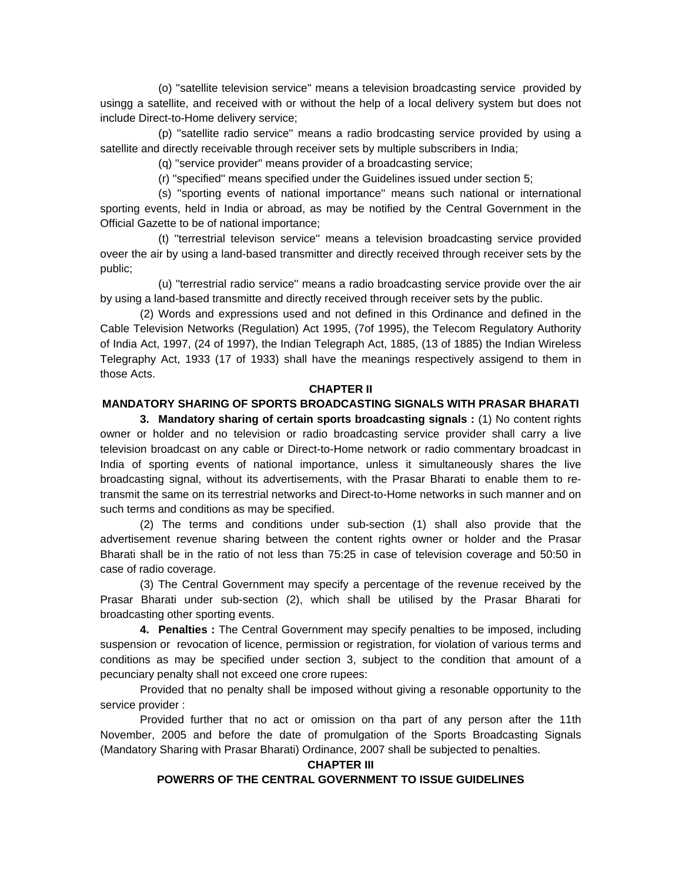(o) ''satellite television service'' means a television broadcasting service provided by usingg a satellite, and received with or without the help of a local delivery system but does not include Direct-to-Home delivery service;

 (p) ''satellite radio service'' means a radio brodcasting service provided by using a satellite and directly receivable through receiver sets by multiple subscribers in India;

(q) ''service provider'' means provider of a broadcasting service;

(r) ''specified'' means specified under the Guidelines issued under section 5;

 (s) ''sporting events of national importance'' means such national or international sporting events, held in India or abroad, as may be notified by the Central Government in the Official Gazette to be of national importance;

 (t) ''terrestrial televison service'' means a television broadcasting service provided oveer the air by using a land-based transmitter and directly received through receiver sets by the public;

 (u) ''terrestrial radio service'' means a radio broadcasting service provide over the air by using a land-based transmitte and directly received through receiver sets by the public.

 (2) Words and expressions used and not defined in this Ordinance and defined in the Cable Television Networks (Regulation) Act 1995, (7of 1995), the Telecom Regulatory Authority of India Act, 1997, (24 of 1997), the Indian Telegraph Act, 1885, (13 of 1885) the Indian Wireless Telegraphy Act, 1933 (17 of 1933) shall have the meanings respectively assigend to them in those Acts.

#### **CHAPTER II**

# **MANDATORY SHARING OF SPORTS BROADCASTING SIGNALS WITH PRASAR BHARATI**

 **3. Mandatory sharing of certain sports broadcasting signals :** (1) No content rights owner or holder and no television or radio broadcasting service provider shall carry a live television broadcast on any cable or Direct-to-Home network or radio commentary broadcast in India of sporting events of national importance, unless it simultaneously shares the live broadcasting signal, without its advertisements, with the Prasar Bharati to enable them to retransmit the same on its terrestrial networks and Direct-to-Home networks in such manner and on such terms and conditions as may be specified.

 (2) The terms and conditions under sub-section (1) shall also provide that the advertisement revenue sharing between the content rights owner or holder and the Prasar Bharati shall be in the ratio of not less than 75:25 in case of television coverage and 50:50 in case of radio coverage.

 (3) The Central Government may specify a percentage of the revenue received by the Prasar Bharati under sub-section (2), which shall be utilised by the Prasar Bharati for broadcasting other sporting events.

**4. Penalties :** The Central Government may specify penalties to be imposed, including suspension or revocation of licence, permission or registration, for violation of various terms and conditions as may be specified under section 3, subject to the condition that amount of a pecunciary penalty shall not exceed one crore rupees:

 Provided that no penalty shall be imposed without giving a resonable opportunity to the service provider :

 Provided further that no act or omission on tha part of any person after the 11th November, 2005 and before the date of promulgation of the Sports Broadcasting Signals (Mandatory Sharing with Prasar Bharati) Ordinance, 2007 shall be subjected to penalties.

#### **CHAPTER III**

#### **POWERRS OF THE CENTRAL GOVERNMENT TO ISSUE GUIDELINES**